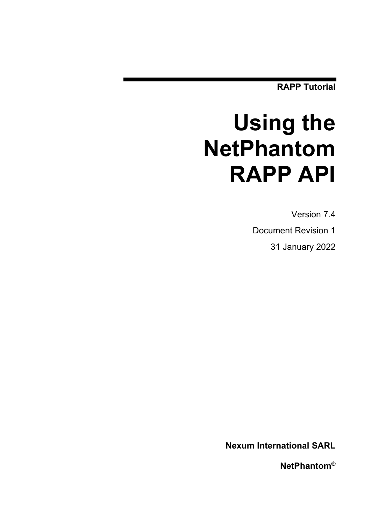**RAPP Tutorial**

# **Using the NetPhantom RAPP API**

Version 7.4 Document Revision 1 31 January 2022

**Nexum International SARL**

**NetPhantom®**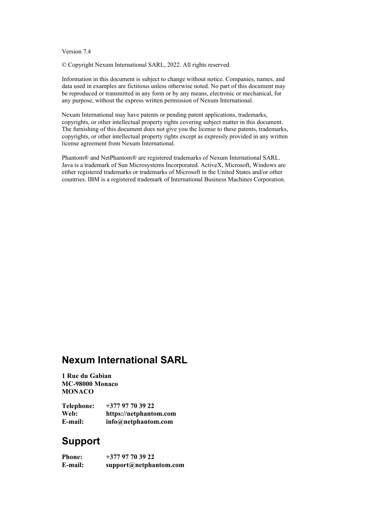#### Version 7.4

© Copyright Nexum International SARL, 2022. All rights reserved.

Information in this document is subject to change without notice. Companies, names, and data used in examples are fictitious unless otherwise noted. No part of this document may be reproduced or transmitted in any form or by any means, electronic or mechanical, for any purpose, without the express written permission of Nexum International.

Nexum International may have patents or pending patent applications, trademarks, copyrights, or other intellectual property rights covering subject matter in this document. The furnishing of this document does not give you the license to these patents, trademarks, copyrights, or other intellectual property rights except as expressly provided in any written license agreement from Nexum International.

Phantom® and NetPhantom® are registered trademarks of Nexum International SARL. Java is a trademark of Sun Microsystems Incorporated. ActiveX, Microsoft, Windows are either registered trademarks or trademarks of Microsoft in the United States and/or other countries. IBM is a registered trademark of International Business Machines Corporation.

# **Nexum International SARL**

**1 Rue du Gabian MC-98000 Monaco MONACO**

| <b>Telephone:</b> | $+37797703922$         |
|-------------------|------------------------|
| Web:              | https://netphantom.com |
| E-mail:           | info@netphantom.com    |

# **Support**

**Phone: +377 97 70 39 22 E-mail: support@netphantom.com**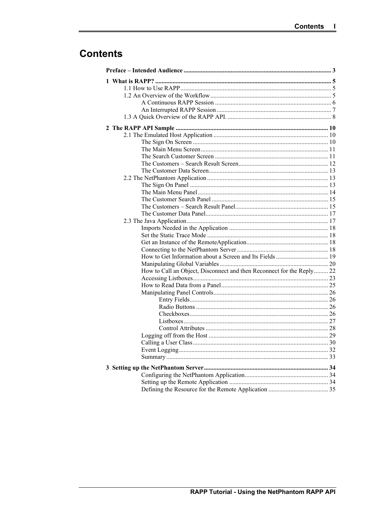# **Contents**

| How to Get Information about a Screen and Its Fields  19              |  |
|-----------------------------------------------------------------------|--|
|                                                                       |  |
| How to Call an Object, Disconnect and then Reconnect for the Reply 22 |  |
|                                                                       |  |
|                                                                       |  |
|                                                                       |  |
|                                                                       |  |
|                                                                       |  |
|                                                                       |  |
|                                                                       |  |
|                                                                       |  |
|                                                                       |  |
|                                                                       |  |
|                                                                       |  |
|                                                                       |  |
|                                                                       |  |
|                                                                       |  |
|                                                                       |  |
|                                                                       |  |
|                                                                       |  |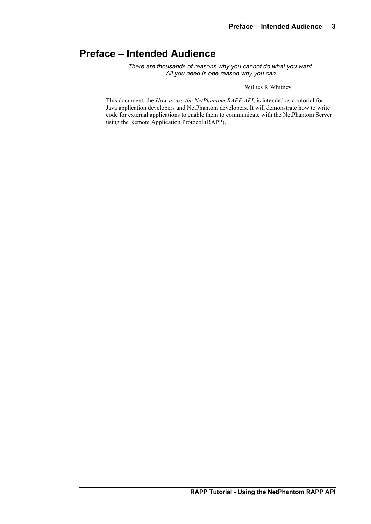# **Preface – Intended Audience**

*There are thousands of reasons why you cannot do what you want. All you need is one reason why you can*

Willies R Whitney

This document, the *How to use the NetPhantom RAPP API*, is intended as a tutorial for Java application developers and NetPhantom developers. It will demonstrate how to write code for external applications to enable them to communicate with the NetPhantom Server using the Remote Application Protocol (RAPP).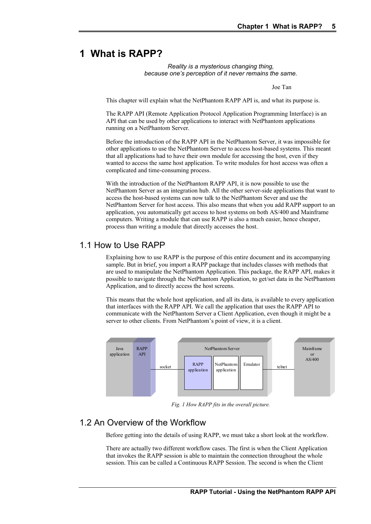# **1 What is RAPP?**

#### *Reality is a mysterious changing thing, because one's perception of it never remains the same.*

Joe Tan

This chapter will explain what the NetPhantom RAPP API is, and what its purpose is.

The RAPP API (Remote Application Protocol Application Programming Interface) is an API that can be used by other applications to interact with NetPhantom applications running on a NetPhantom Server.

Before the introduction of the RAPP API in the NetPhantom Server, it was impossible for other applications to use the NetPhantom Server to access host-based systems. This meant that all applications had to have their own module for accessing the host, even if they wanted to access the same host application. To write modules for host access was often a complicated and time-consuming process.

With the introduction of the NetPhantom RAPP API, it is now possible to use the NetPhantom Server as an integration hub. All the other server-side applications that want to access the host-based systems can now talk to the NetPhantom Sever and use the NetPhantom Server for host access. This also means that when you add RAPP support to an application, you automatically get access to host systems on both AS/400 and Mainframe computers. Writing a module that can use RAPP is also a much easier, hence cheaper, process than writing a module that directly accesses the host.

### 1.1 How to Use RAPP

Explaining how to use RAPP is the purpose of this entire document and its accompanying sample. But in brief, you import a RAPP package that includes classes with methods that are used to manipulate the NetPhantom Application. This package, the RAPP API, makes it possible to navigate through the NetPhantom Application, to get/set data in the NetPhantom Application, and to directly access the host screens.

This means that the whole host application, and all its data, is available to every application that interfaces with the RAPP API. We call the application that uses the RAPP API to communicate with the NetPhantom Server a Client Application, even though it might be a server to other clients. From NetPhantom's point of view, it is a client.



*Fig. 1 How RAPP fits in the overall picture.*

## 1.2 An Overview of the Workflow

Before getting into the details of using RAPP, we must take a short look at the workflow.

There are actually two different workflow cases. The first is when the Client Application that invokes the RAPP session is able to maintain the connection throughout the whole session. This can be called a Continuous RAPP Session. The second is when the Client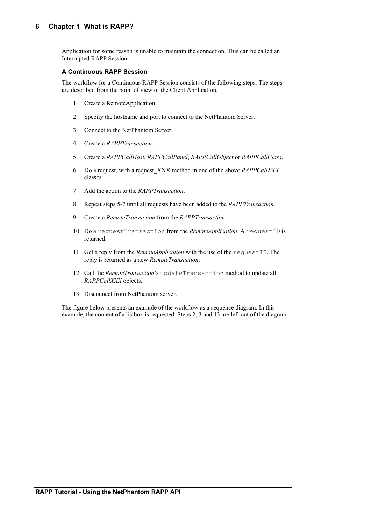Application for some reason is unable to maintain the connection. This can be called an Interrupted RAPP Session.

#### **A Continuous RAPP Session**

The workflow for a Continuous RAPP Session consists of the following steps. The steps are described from the point of view of the Client Application.

- 1. Create a RemoteApplication.
- 2. Specify the hostname and port to connect to the NetPhantom Server.
- 3. Connect to the NetPhantom Server.
- 4. Create a *RAPPTransaction*.
- 5. Create a *RAPPCallHost*, *RAPPCallPanel*, *RAPPCallObject* or *RAPPCallClass*.
- 6. Do a request, with a request\_XXX method in one of the above *RAPPCallXXX* classes.
- 7. Add the action to the *RAPPTransaction*.
- 8. Repeat steps 5-7 until all requests have been added to the *RAPPTransaction*.
- 9. Create a *RemoteTransaction* from the *RAPPTransaction*.
- 10. Do a requestTransaction from the *RemoteApplication*. A requestID is returned.
- 11. Get a reply from the *RemoteApplication* with the use of the requestID. The reply is returned as a new *RemoteTransaction*.
- 12. Call the *RemoteTransaction*'s updateTransaction method to update all *RAPPCallXXX* objects.
- 13. Disconnect from NetPhantom server.

The figure below presents an example of the workflow as a sequence diagram. In this example, the content of a listbox is requested. Steps 2, 3 and 13 are left out of the diagram.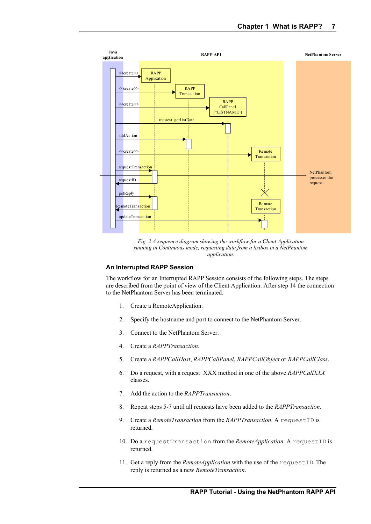

*Fig. 2 A sequence diagram showing the workflow for a Client Application running in Continuous mode, requesting data from a listbox in a NetPhantom application.*

#### **An Interrupted RAPP Session**

The workflow for an Interrupted RAPP Session consists of the following steps. The steps are described from the point of view of the Client Application. After step 14 the connection to the NetPhantom Server has been terminated.

- 1. Create a RemoteApplication.
- 2. Specify the hostname and port to connect to the NetPhantom Server.
- 3. Connect to the NetPhantom Server.
- 4. Create a *RAPPTransaction*.
- 5. Create a *RAPPCallHost*, *RAPPCallPanel*, *RAPPCallObject* or *RAPPCallClass*.
- 6. Do a request, with a request\_XXX method in one of the above *RAPPCallXXX* classes.
- 7. Add the action to the *RAPPTransaction*.
- 8. Repeat steps 5-7 until all requests have been added to the *RAPPTransaction*.
- 9. Create a *RemoteTransaction* from the *RAPPTransaction*. A requestID is returned.
- 10. Do a requestTransaction from the *RemoteApplication*. A requestID is returned.
- 11. Get a reply from the *RemoteApplication* with the use of the requestID. The reply is returned as a new *RemoteTransaction*.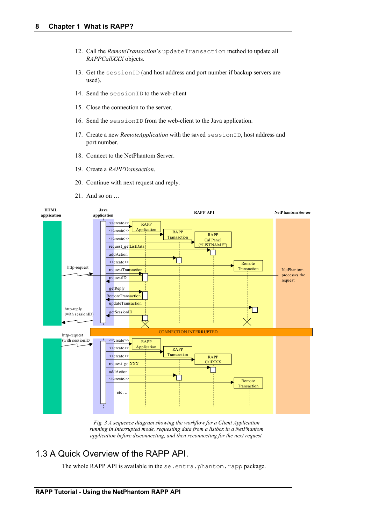- 12. Call the *RemoteTransaction*'s updateTransaction method to update all *RAPPCallXXX* objects.
- 13. Get the sessionID (and host address and port number if backup servers are used).
- 14. Send the sessionID to the web-client
- 15. Close the connection to the server.
- 16. Send the sessionID from the web-client to the Java application.
- 17. Create a new *RemoteApplication* with the saved sessionID, host address and port number.
- 18. Connect to the NetPhantom Server.
- 19. Create a *RAPPTransaction*.
- 20. Continue with next request and reply.
- 21. And so on …



*Fig. 3 A sequence diagram showing the workflow for a Client Application running in Interrupted mode, requesting data from a listbox in a NetPhantom application before disconnecting, and then reconnecting for the next request.*

## 1.3 A Quick Overview of the RAPP API.

The whole RAPP API is available in the se.entra.phantom.rapp package.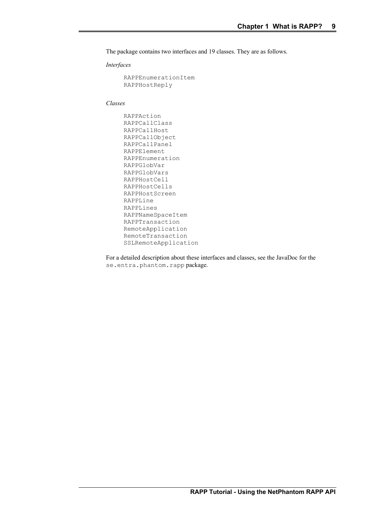The package contains two interfaces and 19 classes. They are as follows.

*Interfaces*

```
RAPPEnumerationItem 
RAPPHostReply
```
*Classes*

```
RAPPAction 
RAPPCallClass 
RAPPCallHost 
RAPPCallObject 
RAPPCallPanel 
RAPPElement 
RAPPEnumeration 
RAPPGlobVar 
RAPPGlobVars 
RAPPHostCell 
RAPPHostCells 
RAPPHostScreen 
RAPPLine 
RAPPLines 
RAPPNameSpaceItem 
RAPPTransaction 
RemoteApplication 
RemoteTransaction 
SSLRemoteApplication
```
For a detailed description about these interfaces and classes, see the JavaDoc for the se.entra.phantom.rapp package.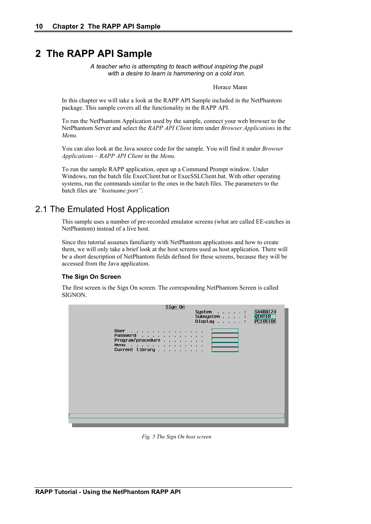# **2 The RAPP API Sample**

*A teacher who is attempting to teach without inspiring the pupil with a desire to learn is hammering on a cold iron.*

Horace Mann

In this chapter we will take a look at the RAPP API Sample included in the NetPhantom package. This sample covers all the functionality in the RAPP API.

To run the NetPhantom Application used by the sample, connect your web browser to the NetPhantom Server and select the *RAPP API Client* item under *Browser Applications* in the *Menu*.

You can also look at the Java source code for the sample. You will find it under *Browser Applications – RAPP API Client* in the *Menu*.

To run the sample RAPP application, open up a Command Prompt window. Under Windows, run the batch file ExecClient.bat or ExecSSLClient.bat. With other operating systems, run the commands similar to the ones in the batch files. The parameters to the batch files are *"hostname:port"*.

## 2.1 The Emulated Host Application

This sample uses a number of pre-recorded emulator screens (what are called EE-catches in NetPhantom) instead of a live host.

Since this tutorial assumes familiarity with NetPhantom applications and how to create them, we will only take a brief look at the host screens used as host application. There will be a short description of NetPhantom fields defined for these screens, because they will be accessed from the Java application.

#### **The Sign On Screen**

The first screen is the Sign On screen. The corresponding NetPhantom Screen is called SIGNON.



*Fig. 5 The Sign On host screen*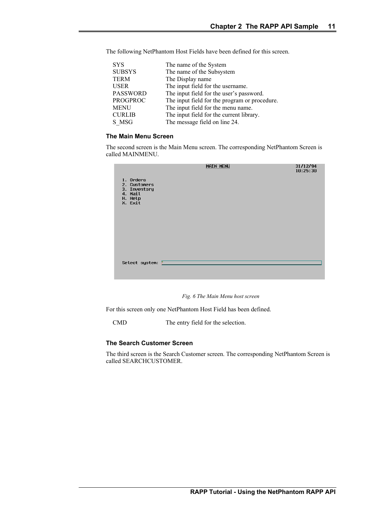| <b>SYS</b>      | The name of the System                        |
|-----------------|-----------------------------------------------|
| <b>SUBSYS</b>   | The name of the Subsystem                     |
| <b>TERM</b>     | The Display name                              |
| <b>USER</b>     | The input field for the username.             |
| <b>PASSWORD</b> | The input field for the user's password.      |
| <b>PROGPROC</b> | The input field for the program or procedure. |
| <b>MENU</b>     | The input field for the menu name.            |
| <b>CURLIB</b>   | The input field for the current library.      |
| S MSG           | The message field on line 24.                 |

The following NetPhantom Host Fields have been defined for this screen.

#### **The Main Menu Screen**

The second screen is the Main Menu screen. The corresponding NetPhantom Screen is called MAINMENU.

| 1. Orders<br>2. Customers<br>3. Inventory<br>4. Mail<br>H. Help<br>X. Exit | <b>MAIN MENU</b> | 31/12/94<br>10:25:30 |
|----------------------------------------------------------------------------|------------------|----------------------|
| Select system: [                                                           |                  |                      |

*Fig. 6 The Main Menu host screen*

For this screen only one NetPhantom Host Field has been defined.

CMD The entry field for the selection.

#### **The Search Customer Screen**

The third screen is the Search Customer screen. The corresponding NetPhantom Screen is called SEARCHCUSTOMER.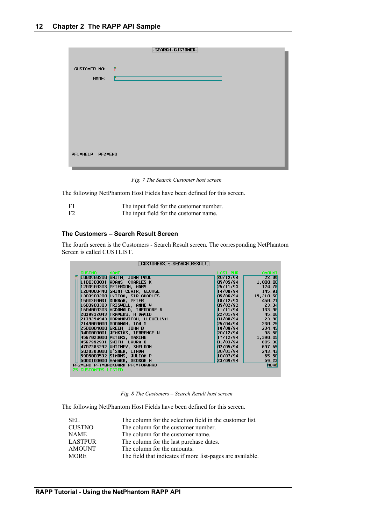|                  | SEARCH CUSTOMER |  |
|------------------|-----------------|--|
|                  |                 |  |
| CUSTOMER NO:     |                 |  |
| NAME:            |                 |  |
|                  |                 |  |
|                  |                 |  |
|                  |                 |  |
|                  |                 |  |
|                  |                 |  |
|                  |                 |  |
|                  |                 |  |
|                  |                 |  |
| PF1=HELP PF2=END |                 |  |
|                  |                 |  |

*Fig. 7 The Search Customer host screen*

The following NetPhantom Host Fields have been defined for this screen.

| F1             | The input field for the customer number. |
|----------------|------------------------------------------|
| F <sub>2</sub> | The input field for the customer name.   |

#### **The Customers – Search Result Screen**

The fourth screen is the Customers - Search Result screen. The corresponding NetPhantom Screen is called CUSTLIST.

| CUSTOMERS - SEARCH RESULT          |                            |               |
|------------------------------------|----------------------------|---------------|
| <b>CUSTNO</b><br><b>NAME</b>       | <b>LAST PUR FOR STRAIN</b> | <b>AMOUNT</b> |
| 1003900200 SMITH, JOHN PAUL        | 30/12/94                   | 23.85         |
| ADAMS, CHARLES K<br>1100300031     | 05/05/94                   | 1,000.00      |
| 1203900303 PETERSON, MARY          | 25/11/93                   | 124.78        |
| 1204000440 SAINT-CLAIR, GEORGE     | 14/08/94                   | 145.91        |
| 1303900200 LYTTON, SIR CHARLES     | 05/06/94                   | 19,210.50     |
| DURBAN, PETER<br>1500300031        | 18/12/93                   | 450.21        |
| 1603900303 FRISWELL, ANNE W        | 05/02/92                   | 23.34         |
| 1604000303 MCDONALD, THEODORE R    | 11/11/94                   | 133.90        |
| 2039932043 TRAVERS, H DAVID        | 22/01/94                   | - 45.00       |
| 2139294943 ABRAMOVITCH, LLEWELLYN  | 03/08/94                   | 23.90         |
| GOODMAN, IAN S<br>2149000000       | 25/04/94                   | 230.25        |
| <b>GREEN, JOHN B</b><br>2500004000 | 18/09/94                   | 234.45        |
| JENKINS, TERRENCE W<br>3400000001  | 20/12/94                   | 98.50         |
| 4567020000 PETERS, MAXINE          | 17/12/94                   | 1,390.05      |
| 4567992931 SMITH, LAURA B          | 01/03/94                   | 805.30        |
| 4707388292 WHITNEY, SHELDON        | A2/A5/94                   | 697.65        |
| 5028380000 0'SHEA, LINDA           | 30/01/94                   | 243.43        |
| 5905000532 SIMONS, JULIAN P        | 10/07/94                   | 85.50         |
| 6000100000 HAMMER, GEORGE M        | 23/09/94                   | 69.23         |
| PF2=END PF7=BACKWARD PF8=FORWARD   |                            | <b>MORE</b>   |
| <b>25 CUSTOMERS LISTED</b>         |                            |               |

#### *Fig. 8 The Customers – Search Result host screen*

The following NetPhantom Host Fields have been defined for this screen.

| SEL            | The column for the selection field in the customer list.   |
|----------------|------------------------------------------------------------|
| <b>CUSTNO</b>  | The column for the customer number.                        |
| NAME.          | The column for the customer name.                          |
| <b>LASTPUR</b> | The column for the last purchase dates.                    |
| <b>AMOUNT</b>  | The column for the amounts.                                |
| <b>MORE</b>    | The field that indicates if more list-pages are available. |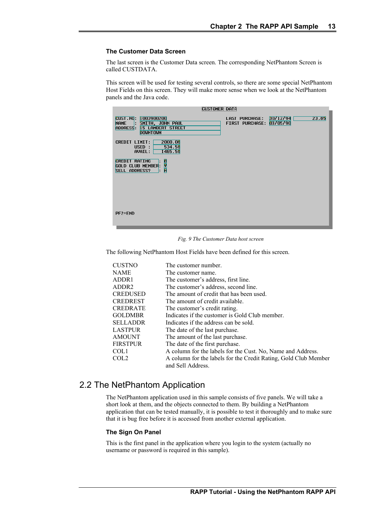#### **The Customer Data Screen**

The last screen is the Customer Data screen. The corresponding NetPhantom Screen is called CUSTDATA.

This screen will be used for testing several controls, so there are some special NetPhantom Host Fields on this screen. They will make more sense when we look at the NetPhantom panels and the Java code.

| CUSTOMER DATA                                                                                                               |                                          |                               |
|-----------------------------------------------------------------------------------------------------------------------------|------------------------------------------|-------------------------------|
| CUST.NO: 1003900200<br><b> : SMITH, JOHN PAUL</b><br><b>NAME</b><br><b>15 LAMBERT STREET</b><br>ADDRESS:<br><b>DOWNTOWN</b> | Last Purchase:<br><b>FIRST PURCHASE:</b> | 30/12/94<br>23.85<br>03/05/90 |
| 2000.00<br><b>CREDIT LIMIT:</b><br>534.50<br>USED :<br>1465.50<br>AVAIL:                                                    |                                          |                               |
| <b>CREDIT RATING</b><br>i<br>K<br>GOLD CLUB MEMBER:<br><b>SELL ADDRESS?</b><br>Ŀ.                                           |                                          |                               |
|                                                                                                                             |                                          |                               |
|                                                                                                                             |                                          |                               |
| $PF2=END$                                                                                                                   |                                          |                               |

*Fig. 9 The Customer Data host screen*

The following NetPhantom Host Fields have been defined for this screen.

| <b>CUSTNO</b>     | The customer number.                                            |
|-------------------|-----------------------------------------------------------------|
| <b>NAME</b>       | The customer name.                                              |
| ADDR1             | The customer's address, first line.                             |
| ADDR <sub>2</sub> | The customer's address, second line.                            |
| <b>CREDUSED</b>   | The amount of credit that has been used.                        |
| <b>CREDREST</b>   | The amount of credit available.                                 |
| <b>CREDRATE</b>   | The customer's credit rating.                                   |
| <b>GOLDMBR</b>    | Indicates if the customer is Gold Club member.                  |
| <b>SELLADDR</b>   | Indicates if the address can be sold.                           |
| <b>LASTPUR</b>    | The date of the last purchase.                                  |
| <b>AMOUNT</b>     | The amount of the last purchase.                                |
| <b>FIRSTPUR</b>   | The date of the first purchase.                                 |
| COL1              | A column for the labels for the Cust. No, Name and Address.     |
| COL <sub>2</sub>  | A column for the labels for the Credit Rating, Gold Club Member |
|                   | and Sell Address.                                               |

# 2.2 The NetPhantom Application

The NetPhantom application used in this sample consists of five panels. We will take a short look at them, and the objects connected to them. By building a NetPhantom application that can be tested manually, it is possible to test it thoroughly and to make sure that it is bug free before it is accessed from another external application.

#### **The Sign On Panel**

This is the first panel in the application where you login to the system (actually no username or password is required in this sample).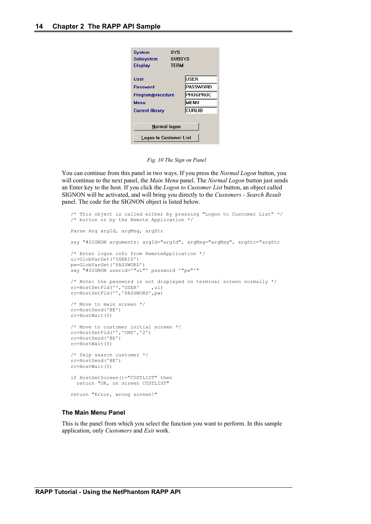| SYS<br>System<br><b>SUBSYS</b><br>Subsystem<br><b>TERM</b><br><b>Display</b> |                 |  |
|------------------------------------------------------------------------------|-----------------|--|
| User                                                                         | USER            |  |
| <b>Password</b>                                                              | <b>PASSWORD</b> |  |
| Program/procedure                                                            | <b>PROGPROC</b> |  |
| Menu                                                                         | <b>MENU</b>     |  |
| <b>Current library</b>                                                       | CURLIB          |  |
| Normal logon                                                                 |                 |  |
| <b>Logon to Customer List</b>                                                |                 |  |

*Fig. 10 The Sign on Panel*

You can continue from this panel in two ways. If you press the *Normal Logon* button, you will continue to the next panel, the *Main Menu* panel. The *Normal Logon* button just sends an Enter key to the host. If you click the *Logon to Customer List* button, an object called SIGNON will be activated, and will bring you directly to the *Customers - Search Result* panel. The code for the SIGNON object is listed below.

```
/* This object is called either by pressing "Logon to Customer List" */
/* button or by the Remote Application */
Parse Arg argId, argMsg, argStr
say "#SIGNON arguments: argId="argId", argMsg="argMsg", argStr="argStr
/* Enter logon info from RemoteApplication */
ui=GlobVarGet('USERID')
pw=GlobVarGet('PASSWORD')
say "#SIGNON userid='"ui"' password '"pw"'"
/* Note: the password is not displayed on terminal screen normally */
rc=HostSetFld('','USER',ui)
rc=HostSetFld('','PASSWORD',pw)
/* Move to main screen */
rc=HostSend('@E')
rc=HostWait(5)
/* Move to customer initial screen */
rc=HostSetFld('','CMD','2')
rc=HostSend('@E')
rc=HostWait(5)
/* Skip search customer */
rc=HostSend('@E')
rc=HostWait(5)
if HostGetScreen()="CUSTLIST" then
   return "OK, on screen CUSTLIST"
return "Error, wrong screen!"
```
#### **The Main Menu Panel**

This is the panel from which you select the function you want to perform. In this sample application, only *Customers* and *Exit* work.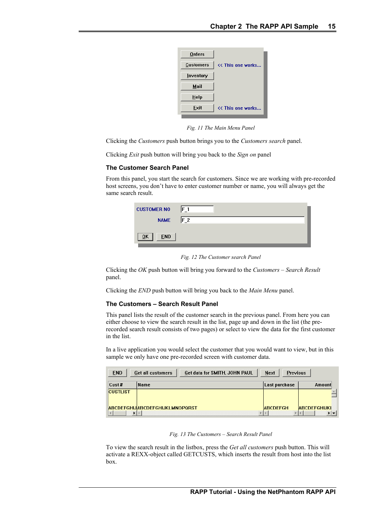| <b>Orders</b>    |                   |
|------------------|-------------------|
| <b>Customers</b> | << This one works |
| Inventory        |                   |
| Mail             |                   |
| Help             |                   |
| Exit             | << This one works |
|                  |                   |

*Fig. 11 The Main Menu Panel*

Clicking the *Customers* push button brings you to the *Customers search* panel.

Clicking *Exit* push button will bring you back to the *Sign on* panel

#### **The Customer Search Panel**

From this panel, you start the search for customers. Since we are working with pre-recorded host screens, you don't have to enter customer number or name, you will always get the same search result.

| <b>CUSTOMER NO</b>             | $F_1$          |
|--------------------------------|----------------|
| <b>NAME</b>                    | F <sub>2</sub> |
| <b>END</b><br>$\overline{0}$ K |                |

*Fig. 12 The Customer search Panel*

Clicking the *OK* push button will bring you forward to the *Customers – Search Result* panel.

Clicking the *END* push button will bring you back to the *Main Menu* panel.

#### **The Customers – Search Result Panel**

This panel lists the result of the customer search in the previous panel. From here you can either choose to view the search result in the list, page up and down in the list (the prerecorded search result consists of two pages) or select to view the data for the first customer in the list.

In a live application you would select the customer that you would want to view, but in this sample we only have one pre-recorded screen with customer data.

| <b>END</b>      | Get data for SMITH, JOHN PAUL<br>Get all customers | Next<br><b>Previous</b> |                     |
|-----------------|----------------------------------------------------|-------------------------|---------------------|
| $Cust$ #        | Name                                               | Last purchase           | Amount              |
| <b>CUSTLIST</b> |                                                    |                         |                     |
|                 | <b>ABCDEFGHIJABCDEFGHIJKLMNOPQRST</b>              | <b>ABCDEFGH</b>         | <b>ABCDEFGHIJKI</b> |

#### *Fig. 13 The Customers – Search Result Panel*

To view the search result in the listbox, press the *Get all customers* push button. This will activate a REXX-object called GETCUSTS, which inserts the result from host into the list box.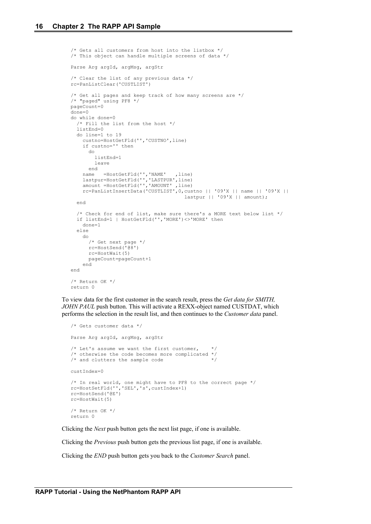```
/* Gets all customers from host into the listbox */
/* This object can handle multiple screens of data */
Parse Arg argId, argMsg, argStr
/* Clear the list of any previous data */
rc=PanListClear('CUSTLIST')
/* Get all pages and keep track of how many screens are */
/* "paged" using PF8 */
pageCount=0
done=0
do while done=0
   /* Fill the list from the host */
   listEnd=0
  do line=1 to 19
     custno=HostGetFld('','CUSTNO',line)
     if custno='' then
       do
         listEnd=1
         leave
       end
    name =HostGetFld('','NAME' ,line)
 lastpur=HostGetFld('','LASTPUR',line)
 amount =HostGetFld('','AMOUNT' ,line)
 rc=PanListInsertData('CUSTLIST',0,custno || '09'X || name || '09'X || 
                                        lastpur || '09'X || amount);
   end
   /* Check for end of list, make sure there's a MORE text below list */
   if listEnd=1 | HostGetFld('','MORE')<>'MORE' then
     done=1
   else
     do
       /* Get next page */
       rc=HostSend('@8')
      rc=HostWait(5)
       pageCount=pageCount+1
     end
end
/* Return OK */
return 0
```
To view data for the first customer in the search result, press the *Get data for SMITH, JOHN PAUL* push button. This will activate a REXX-object named CUSTDAT, which performs the selection in the result list, and then continues to the *Customer data* panel.

```
/* Gets customer data */
Parse Arg argId, argMsg, argStr
/* Let's assume we want the first customer,
/* otherwise the code becomes more complicated */
/* and clutters the sample code
custIndex=0
/* In real world, one might have to PF8 to the correct page */
rc=HostSetFld('','SEL','s',custIndex+1)
rc=HostSend('@E')
rc=HostWait(5)
/* Return OK */
return 0
```
Clicking the *Next* push button gets the next list page, if one is available.

Clicking the *Previous* push button gets the previous list page, if one is available.

Clicking the *END* push button gets you back to the *Customer Search* panel.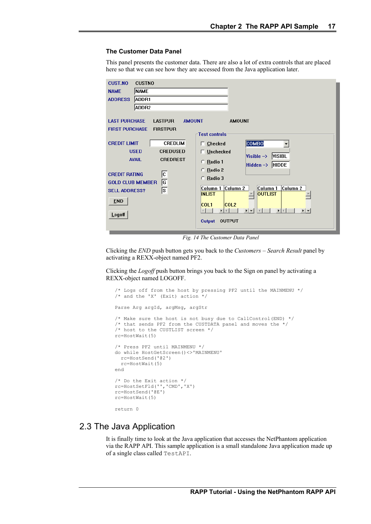#### **The Customer Data Panel**

This panel presents the customer data. There are also a lot of extra controls that are placed here so that we can see how they are accessed from the Java application later.

| <b>CUST.NO</b><br><b>CUSTNO</b>                                                                 |                                                                                                                                                                                                                                                                                                                                                                                                                                                              |
|-------------------------------------------------------------------------------------------------|--------------------------------------------------------------------------------------------------------------------------------------------------------------------------------------------------------------------------------------------------------------------------------------------------------------------------------------------------------------------------------------------------------------------------------------------------------------|
| <b>NAME</b><br><b>NAME</b>                                                                      |                                                                                                                                                                                                                                                                                                                                                                                                                                                              |
| ADDR1<br><b>ADDRESS</b>                                                                         |                                                                                                                                                                                                                                                                                                                                                                                                                                                              |
| ADDR2                                                                                           |                                                                                                                                                                                                                                                                                                                                                                                                                                                              |
| <b>LAST PURCHASE</b><br><b>FIRST PURCHASE</b>                                                   | <b>LASTPUR</b><br><b>AMOUNT</b><br><b>AMOUNT</b><br><b>FIRSTPUR</b><br><b>Test controls</b>                                                                                                                                                                                                                                                                                                                                                                  |
|                                                                                                 |                                                                                                                                                                                                                                                                                                                                                                                                                                                              |
| <b>CREDIT LIMIT</b>                                                                             | COMBO<br><b>CREDLIM</b><br>$\Box$ Checked                                                                                                                                                                                                                                                                                                                                                                                                                    |
| <b>USED</b>                                                                                     | <b>CREDUSED</b><br>$\Box$ Unchecked<br><b>VISIBL</b><br>Visible $\rightarrow$                                                                                                                                                                                                                                                                                                                                                                                |
| <b>AVAIL</b>                                                                                    | <b>CREDREST</b><br>$C$ Radio 1                                                                                                                                                                                                                                                                                                                                                                                                                               |
| <b>CREDIT RATING</b><br><b>GOLD CLUB MEMBER</b><br><b>SELL ADDRESS?</b><br><b>END</b><br>Logoff | $Hidden \rightarrow HIDDE$<br>Radio 2<br>О.<br>$\sqrt{c}$<br>C Radio 3<br>G<br>Column 2<br>Column 2<br>Column 1<br>Column 1<br>$\overline{\bm{s}}$<br><b>OUTLIST</b><br><b>INLIST</b><br><b>COL2</b><br><b>COL1</b><br>$\blacktriangleright$ $\blacktriangleright$<br>$\blacktriangleright$ $\blacktriangleright$<br>$\left\vert 1\right\rangle$<br>$\blacktriangleright$ $\blacktriangleright$<br>$\mathbf{F}$<br>$\overline{4}$<br><b>OUTPUT</b><br>Output |

*Fig. 14 The Customer Data Panel*

Clicking the *END* push button gets you back to the *Customers – Search Result* panel by activating a REXX-object named PF2.

Clicking the *Logoff* push button brings you back to the Sign on panel by activating a REXX-object named LOGOFF.

```
/* Logs off from the host by pressing PF2 until the MAINMENU */
/* and the 'X' (Exit) action */Parse Arg argId, argMsg, argStr
/* Make sure the host is not busy due to CallControl(END) */
/* that sends PF2 from the CUSTDATA panel and moves the *//* host to the CUSTLIST screen */
rc=HostWait(5)
/* Press PF2 until MAINMENU */
do while HostGetScreen()<>'MAINMENU'
  rc=HostSend('@2')
  rc=HostWait(5)
end
/* Do the Exit action */
rc=HostSetFld('','CMD','X')
rc=HostSend('@E')
rc=HostWait(5)
return 0
```
## 2.3 The Java Application

It is finally time to look at the Java application that accesses the NetPhantom application via the RAPP API. This sample application is a small standalone Java application made up of a single class called TestAPI.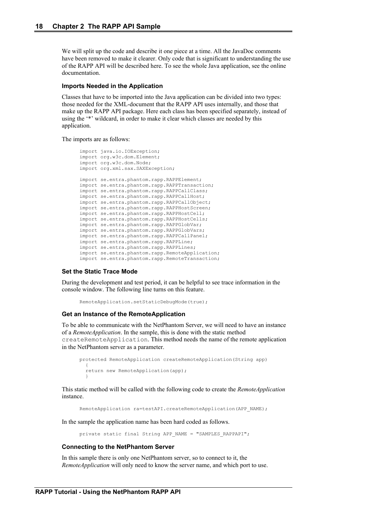We will split up the code and describe it one piece at a time. All the JavaDoc comments have been removed to make it clearer. Only code that is significant to understanding the use of the RAPP API will be described here. To see the whole Java application, see the online documentation.

#### **Imports Needed in the Application**

Classes that have to be imported into the Java application can be divided into two types: those needed for the XML-document that the RAPP API uses internally, and those that make up the RAPP API package. Here each class has been specified separately, instead of using the '\*' wildcard, in order to make it clear which classes are needed by this application.

The imports are as follows:

```
import java.io.IOException;
import org.w3c.dom.Element;
import org.w3c.dom.Node;
import org.xml.sax.SAXException;
import se.entra.phantom.rapp.RAPPElement;
import se.entra.phantom.rapp.RAPPTransaction;
import se.entra.phantom.rapp.RAPPCallClass;
import se.entra.phantom.rapp.RAPPCallHost;
import se.entra.phantom.rapp.RAPPCallObject;
import se.entra.phantom.rapp.RAPPHostScreen;
import se.entra.phantom.rapp.RAPPHostCell;
import se.entra.phantom.rapp.RAPPHostCells;
import se.entra.phantom.rapp.RAPPGlobVar;
import se.entra.phantom.rapp.RAPPGlobVars;
import se.entra.phantom.rapp.RAPPCallPanel;
import se.entra.phantom.rapp.RAPPLine;
import se.entra.phantom.rapp.RAPPLines;
import se.entra.phantom.rapp.RemoteApplication;
import se.entra.phantom.rapp.RemoteTransaction;
```
#### **Set the Static Trace Mode**

During the development and test period, it can be helpful to see trace information in the console window. The following line turns on this feature.

```
RemoteApplication.setStaticDebugMode(true);
```
#### **Get an Instance of the RemoteApplication**

To be able to communicate with the NetPhantom Server, we will need to have an instance of a *RemoteApplication*. In the sample, this is done with the static method createRemoteApplication. This method needs the name of the remote application in the NetPhantom server as a parameter.

```
protected RemoteApplication createRemoteApplication(String app)
   {
   return new RemoteApplication(app);
 }
```
This static method will be called with the following code to create the *RemoteApplication* instance.

RemoteApplication ra=testAPI.createRemoteApplication(APP\_NAME);

In the sample the application name has been hard coded as follows.

private static final String APP\_NAME = "SAMPLES\_RAPPAPI";

#### **Connecting to the NetPhantom Server**

In this sample there is only one NetPhantom server, so to connect to it, the *RemoteApplication* will only need to know the server name, and which port to use.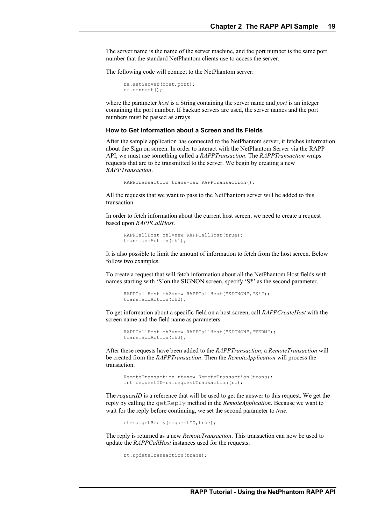The server name is the name of the server machine, and the port number is the same port number that the standard NetPhantom clients use to access the server.

The following code will connect to the NetPhantom server:

```
ra.setServer(host,port);
ra.connect();
```
where the parameter *host* is a String containing the server name and *port* is an integer containing the port number. If backup servers are used, the server names and the port numbers must be passed as arrays.

#### **How to Get Information about a Screen and Its Fields**

After the sample application has connected to the NetPhantom server, it fetches information about the Sign on screen. In order to interact with the NetPhantom Server via the RAPP API, we must use something called a *RAPPTransaction*. The *RAPPTransaction* wraps requests that are to be transmitted to the server. We begin by creating a new *RAPPTransaction*.

```
RAPPTransaction trans=new RAPPTransaction();
```
All the requests that we want to pass to the NetPhantom server will be added to this transaction.

In order to fetch information about the current host screen, we need to create a request based upon *RAPPCallHost*.

```
RAPPCallHost ch1=new RAPPCallHost(true);
trans.addAction(ch1);
```
It is also possible to limit the amount of information to fetch from the host screen. Below follow two examples.

To create a request that will fetch information about all the NetPhantom Host fields with names starting with 'S'on the SIGNON screen, specify 'S\*' as the second parameter.

```
RAPPCallHost ch2=new RAPPCallHost("SIGNON","S*");
trans.addAction(ch2);
```
To get information about a specific field on a host screen, call *RAPPCreateHost* with the screen name and the field name as parameters.

```
RAPPCallHost ch3=new RAPPCallHost("SIGNON","TERM");
trans.addAction(ch3);
```
After these requests have been added to the *RAPPTransaction*, a *RemoteTransaction* will be created from the *RAPPTransaction*. Then the *RemoteApplication* will process the transaction.

RemoteTransaction rt=new RemoteTransaction(trans); int requestID=ra.requestTransaction(rt);

The *requestID* is a reference that will be used to get the answer to this request. We get the reply by calling the getReply method in the *RemoteApplication*. Because we want to wait for the reply before continuing, we set the second parameter to *true*.

rt=ra.getReply(requestID, true);

The reply is returned as a new *RemoteTransaction*. This transaction can now be used to update the *RAPPCallHost* instances used for the requests.

```
rt.updateTransaction(trans);
```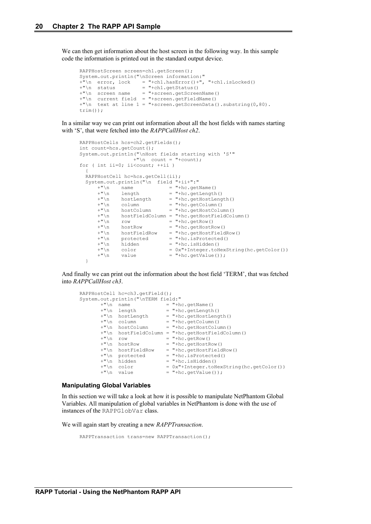We can then get information about the host screen in the following way. In this sample code the information is printed out in the standard output device.

```
RAPPHostScreen screen=ch1.getScreen();
System.out.println("\nScreen information:"
+"\n error, lock = "+ch1.hasError()+", "+ch1.isLocked()
+"\n status = "+ch1.getStatus()
+"\n status = "+chl.getStatus()<br>+"\n screen name = "+screen.getScreenName()
+"\n current field = "+screen.getFieldName()
+"\n text at line 1 = "+screen.getScreenData().substring(0,80).
trim());
```
In a similar way we can print out information about all the host fields with names starting with 'S', that were fetched into the *RAPPCallHost ch2*.

```
RAPPHostCells hcs=ch2.getFields();
int count=hcs.getCount();
System.out.println("\nHost fields starting with 'S'"
                       +\sqrt{''}\n count = "+count);
for ( int ii=0; ii<count; ++ii )
\left\{ \begin{array}{c} \end{array} \right\} RAPPHostCell hc=hcs.getCell(ii);
  System.out.println("\n field "+ii+":"<br>
+"\n name = "+hc.get<br>
+"\n length = "+ho ---
       +"\n name = "+hc.getName()<br>+"\n length = "+hc.getLength()
+"\n length = "+hc.getLength()
 +"\n hostLength = "+hc.getHostLength()
+"\n column = "+hc.getColumn()
 +"\n hostColumn = "+hc.getHostColumn()
 +"\n hostFieldColumn = "+hc.getHostFieldColumn()
+\sqrt{''} row = \sqrt{''} +hc.getRow()
        +"\n row = "+hc.getRow()<br>+"\n hostRow = "+hc.getRow()<br>+"\n hostFieldRow = "+hc.getHostRow()
        +"\n hostFieldRow = "+hc.getHostFieldRow()<br>+"\n protected = "+hc.isProtected()
               \frac{1}{2} \frac{1}{2} \frac{1}{2} \frac{1}{2} \frac{1}{2} \frac{1}{2} \frac{1}{2} \frac{1}{2} \frac{1}{2} \frac{1}{2} \frac{1}{2} \frac{1}{2} \frac{1}{2} \frac{1}{2} \frac{1}{2} \frac{1}{2} \frac{1}{2} \frac{1}{2} \frac{1}{2} \frac{1}{2} \frac{1}{2} \frac{1}{2} +"\n\ln hidden = "+hc.isHidden()
 +"\n color = 0x"+Integer.toHexString(hc.getColor())
+"\n value = "+hc.getValue());
   }
```
And finally we can print out the information about the host field 'TERM', that was fetched into *RAPPCallHost ch3*.

```
RAPPHostCell hc=ch3.getField();
System.out.println("\nTERM field:"
+\sqrt{m} name =\sqrt{m}+hc.getName()
 +"\n length = "+hc.getLength()
 +"\n hostLength = "+hc.getHostLength()
+"\n column = "+hc.getColumn()
 +"\n hostColumn = "+hc.getHostColumn()
       +"\n hostFieldColumn = "+hc.getHostFieldColumn()
+"\n row = "+hc.getRow()
 +"\n hostRow = "+hc.getHostRow()
 +"\n hostFieldRow = "+hc.getHostFieldRow()
+"\n protected = "+hc.isProtected()
+"\n hidden = "+hc.isHidden()
      +"\n protected - \cdot - \cdot +"\n hidden = "+hc.isHidden()<br>+"\n color = 0x"+Integer.toHexString(hc.getColor())<br>+"\n value = "+hc.getValue());
                         = "+hc.getValue());
```
#### **Manipulating Global Variables**

In this section we will take a look at how it is possible to manipulate NetPhantom Global Variables. All manipulation of global variables in NetPhantom is done with the use of instances of the RAPPGlobVar class.

We will again start by creating a new *RAPPTransaction*.

```
RAPPTransaction trans=new RAPPTransaction();
```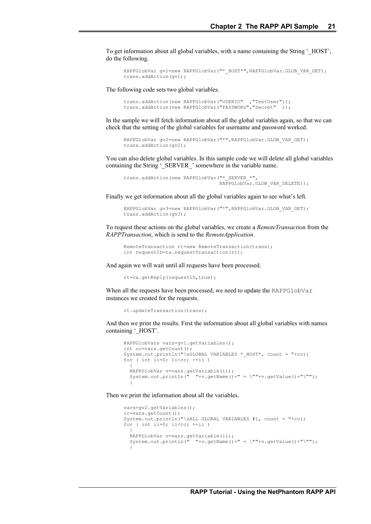To get information about all global variables, with a name containing the String '\_HOST', do the following.

```
RAPPGlobVar gv1=new RAPPGlobVar("* HOST*",RAPPGlobVar.GLOB VAR GET);
trans.addAction(gv1);
```
The following code sets two global variables.

```
trans.addAction(new RAPPGlobVar("USERID" ,"TestUser"));
trans.addAction(new RAPPGlobVar("PASSWORD","Secret" ));
```
In the sample we will fetch information about all the global variables again, so that we can check that the setting of the global variables for username and password worked.

```
RAPPGlobVar gv2=new RAPPGlobVar("*",RAPPGlobVar.GLOB VAR GET);
trans.addAction(gv2);
```
You can also delete global variables. In this sample code we will delete all global variables containing the String '\_SERVER\_' somewhere in the variable name.

```
trans.addAction(new RAPPGlobVar("* SERVER *",
                                RAPPGlobVar.GLOB_VAR_DELETE));
```
Finally we get information about all the global variables again to see what's left.

```
RAPPGlobVar gv3=new RAPPGlobVar("*",RAPPGlobVar.GLOB VAR GET);
trans.addAction(gv3);
```
To request these actions on the global variables, we create a *RemoteTransaction* from the *RAPPTransaction*, which is send to the *RemoteApplication*.

```
RemoteTransaction rt=new RemoteTransaction(trans);
int requestID=ra.requestTransaction(rt);
```
And again we will wait until all requests have been processed.

rt=ra.getReply(requestID, true);

When all the requests have been processed, we need to update the RAPPGlobVar instances we created for the requests.

```
rt.updateTransaction(trans);
```
And then we print the results. First the information about all global variables with names containing '\_HOST'.

```
RAPPGlobVars vars=gv1.getVariables();
int cc=vars.getCount();
System.out.println("\nGLOBAL VARIABLES * HOST*, count = "+cc);
for ( int ii=0; ii<cc; ++ii)
\left\{ \begin{array}{c} \end{array} \right. RAPPGlobVar v=vars.getVariable(ii);
  System.out.println(" " "+v.getName()+" = \""+v.getValue()+"\"");
 }
```
Then we print the information about all the variables.

```
vars=gv2.getVariables();
cc=vars.getCount();
System.out.println("\nALL GLOBAL VARIABLES #1, count = "+cc);
for ( int ii=0; ii<cc; ++ii)
\left\{ \begin{array}{c} \end{array} \right\}RAPPGlobVar v=vars.getVariable(ii);
  System.out.println(" "+v.getName()+" = \""+v.getValue()+"\"");
   }
```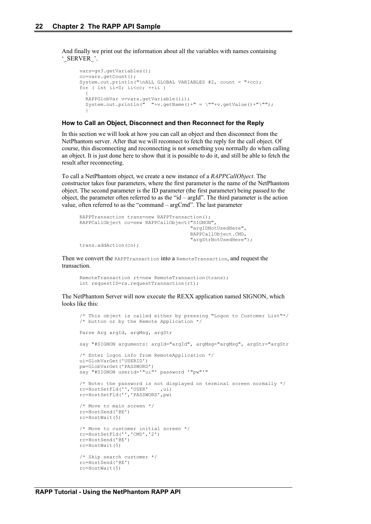And finally we print out the information about all the variables with names containing '\_SERVER\_'.

```
vars=gv3.getVariables();
cc=vars.getCount();
System.out.println("\nALL GLOBAL VARIABLES #2, count = "+cc);
for ( int ii=0; ii\langle cc; ++ii )
\left\{ \begin{array}{c} \end{array} \right\} RAPPGlobVar v=vars.getVariable(ii);
  System.out.println(" "+v.getName()+" = \""+v.getValue()+"\"");
 }
```
#### **How to Call an Object, Disconnect and then Reconnect for the Reply**

In this section we will look at how you can call an object and then disconnect from the NetPhantom server. After that we will reconnect to fetch the reply for the call object. Of course, this disconnecting and reconnecting is not something you normally do when calling an object. It is just done here to show that it is possible to do it, and still be able to fetch the result after reconnecting.

To call a NetPhantom object, we create a new instance of a *RAPPCallObject*. The constructor takes four parameters, where the first parameter is the name of the NetPhantom object. The second parameter is the ID parameter (the first parameter) being passed to the object, the parameter often referred to as the "id – argId". The third parameter is the action value, often referred to as the "command – argCmd". The last parameter

```
RAPPTransaction trans=new RAPPTransaction();
RAPPCallObject co=new RAPPCallObject("SIGNON",
                                       "argIDNotUsedHere",
                                      RAPPCallObject.CMD,
                                      "argStrNotUsedHere");
trans.addAction(co);
```
Then we convert the RAPPTransaction into a RemoteTransaction, and request the transaction.

```
RemoteTransaction rt=new RemoteTransaction(trans);
int requestID=ra.requestTransaction(rt);
```
The NetPhantom Server will now execute the REXX application named SIGNON, which looks like this:

```
/* This object is called either by pressing "Logon to Customer List"*/
/* button or by the Remote Application */
Parse Arg argId, argMsg, argStr
say "#SIGNON arguments: argId="argId", argMsg="argMsg", argStr="argStr
/* Enter logon info from RemoteApplication */
ui=GlobVarGet('USERID')
pw=GlobVarGet('PASSWORD')
say "#SIGNON userid='"ui"' password '"pw"'"
/* Note: the password is not displayed on terminal screen normally */
rc=HostSetFld('','USER' ,ui)
rc=HostSetFld('','PASSWORD',pw)
/* Move to main screen */
rc=HostSend('@E')
rc=HostWait(5)
/* Move to customer initial screen */
rc=HostSetFld('','CMD','2')
rc=HostSend('@E')
rc=HostWait(5)
/* Skip search customer */
rc=HostSend('@E')
rc=HostWait(5)
```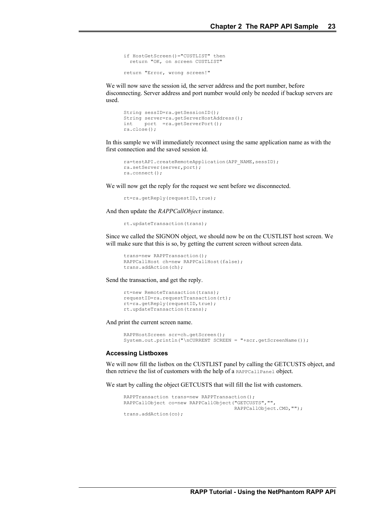```
if HostGetScreen()="CUSTLIST" then
  return "OK, on screen CUSTLIST"
return "Error, wrong screen!"
```
We will now save the session id, the server address and the port number, before disconnecting. Server address and port number would only be needed if backup servers are used.

```
String sessID=ra.getSessionID();
String server=ra.getServerHostAddress();
int port =ra.getServerPort();
ra.close();
```
In this sample we will immediately reconnect using the same application name as with the first connection and the saved session id.

```
ra=testAPI.createRemoteApplication(APP_NAME,sessID);
ra.setServer(server,port);
ra.connect();
```
We will now get the reply for the request we sent before we disconnected.

rt=ra.getReply(requestID,true);

And then update the *RAPPCallObject* instance.

```
rt.updateTransaction(trans);
```
Since we called the SIGNON object, we should now be on the CUSTLIST host screen. We will make sure that this is so, by getting the current screen without screen data.

```
trans=new RAPPTransaction();
RAPPCallHost ch=new RAPPCallHost(false);
trans.addAction(ch);
```
Send the transaction, and get the reply.

```
rt=new RemoteTransaction(trans);
requestID=ra.requestTransaction(rt);
rt=ra.getReply(requestID,true);
rt.updateTransaction(trans);
```
And print the current screen name.

```
RAPPHostScreen scr=ch.getScreen();
System.out.println("\nCURRENT SCREEN = "+scr.getScreenName());
```
#### **Accessing Listboxes**

We will now fill the listbox on the CUSTLIST panel by calling the GETCUSTS object, and then retrieve the list of customers with the help of a RAPPCallPanel object.

We start by calling the object GETCUSTS that will fill the list with customers.

```
RAPPTransaction trans=new RAPPTransaction();
RAPPCallObject co=new RAPPCallObject("GETCUSTS","", 
                                       RAPPCallObject.CMD,"");
trans.addAction(co);
```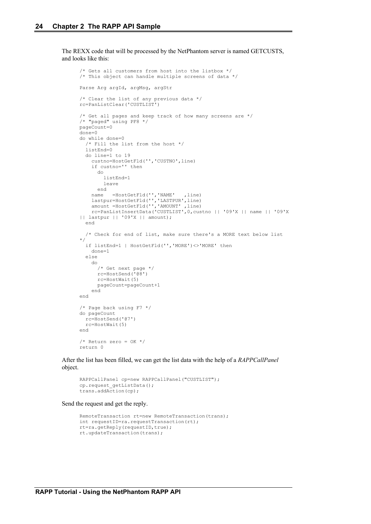The REXX code that will be processed by the NetPhantom server is named GETCUSTS, and looks like this:

```
/* Gets all customers from host into the listbox */
/* This object can handle multiple screens of data */
Parse Arg argId, argMsg, argStr
/* Clear the list of any previous data */
rc=PanListClear('CUSTLIST')
/* Get all pages and keep track of how many screens are */
/* "paged" using PF8 */
pageCount=0
done=0
do while done=0
   /* Fill the list from the host */
   listEnd=0
   do line=1 to 19
     custno=HostGetFld('','CUSTNO',line)
     if custno='' then
       do
         listEnd=1
         leave
 end
name =HostGetFld('','NAME' ,line)
 lastpur=HostGetFld('','LASTPUR',line)
 amount =HostGetFld('','AMOUNT' ,line)
 rc=PanListInsertData('CUSTLIST',0,custno || '09'X || name || '09'X 
|| lastpur || '09'X || amount);
   end
   /* Check for end of list, make sure there's a MORE text below list 
*/
   if listEnd=1 | HostGetFld('','MORE')<>'MORE' then
     done=1
   else
     do
       /* Get next page */
       rc=HostSend('@8')
       rc=HostWait(5)
       pageCount=pageCount+1
     end
end
/* Page back using F7 */
do pageCount
   rc=HostSend('@7')
   rc=HostWait(5)
end
/* Return zero = OK */
return 0
```
After the list has been filled, we can get the list data with the help of a *RAPPCallPanel* object.

```
RAPPCallPanel cp=new RAPPCallPanel("CUSTLIST");
cp.request getListData();
trans.addAction(cp);
```
Send the request and get the reply.

```
RemoteTransaction rt=new RemoteTransaction(trans);
int requestID=ra.requestTransaction(rt);
rt=ra.getReply(requestID,true);
rt.updateTransaction(trans);
```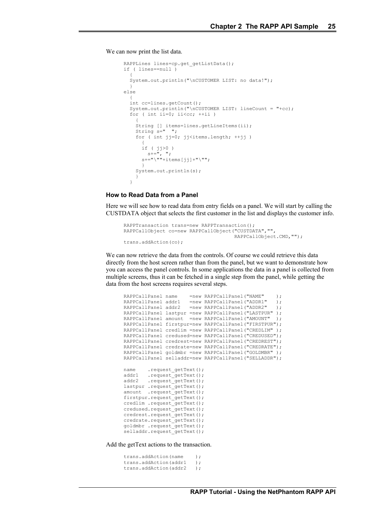We can now print the list data.

```
RAPPLines lines=cp.get_getListData();
if ( lines==null )
\left\{ \begin{array}{c} \end{array} \right\} System.out.println("\nCUSTOMER LIST: no data!");
 }
else
\{ int cc=lines.getCount();
   System.out.println("\nCUSTOMER LIST: lineCount = "+cc);
  for ( int ii=0; ii<cc; ++ii )
\left\{\begin{array}{ccc} \end{array}\right\} String [] items=lines.getLineItems(ii);
     String s=" ";
     for (int j=0; j\leqitems.length; ++jj)
\overline{\phantom{a}} if ( jj>0 )
         s+=", "s+="\n\'"+items[jj]+"\"";
 }
      System.out.println(s);
      }
   }
```
#### **How to Read Data from a Panel**

Here we will see how to read data from entry fields on a panel. We will start by calling the CUSTDATA object that selects the first customer in the list and displays the customer info.

```
RAPPTransaction trans=new RAPPTransaction();
RAPPCallObject co=new RAPPCallObject("CUSTDATA","",
                                       RAPPCallObject.CMD,"");
trans.addAction(co);
```
We can now retrieve the data from the controls. Of course we could retrieve this data directly from the host screen rather than from the panel, but we want to demonstrate how you can access the panel controls. In some applications the data in a panel is collected from multiple screens, thus it can be fetched in a single step from the panel, while getting the data from the host screens requires several steps.

```
RAPPCallPanel name =new RAPPCallPanel("NAME" );
RAPPCallPanel addr1 =new RAPPCallPanel("ADDR1" );<br>RAPPCallPanel addr2 =new RAPPCallPanel("ADDR2" );
                       =new RAPPCallPanel("ADDR2" );
RAPPCallPanel lastpur =new RAPPCallPanel("LASTPUR" );
RAPPCallPanel amount =new RAPPCallPanel("AMOUNT" );
RAPPCallPanel firstpur=new RAPPCallPanel ("FIRSTPUR");
RAPPCallPanel credlim =new RAPPCallPanel("CREDLIM" );
RAPPCallPanel credused=new RAPPCallPanel("CREDUSED");
RAPPCallPanel credrest=new RAPPCallPanel("CREDREST");
RAPPCallPanel credrate=new RAPPCallPanel("CREDRATE");
RAPPCallPanel goldmbr =new RAPPCallPanel("GOLDMBR" );
RAPPCallPanel selladdr=new RAPPCallPanel("SELLADDR");
name .request_getText();<br>addr1 .request qetText():
        .request_getText();
addr2 .request_qetText();
lastpur .request qetText();
amount .request_getText();
firstpur.request_getText();
credlim .request getText();
credused.request_getText();
credrest.request_getText();
credrate.request_getText();
goldmbr .request_getText();
selladdr.request_getText();
```
Add the getText actions to the transaction.

```
trans.addAction(name ) ;
trans.addAction(addr1 );
trans.addAction(addr2 );
```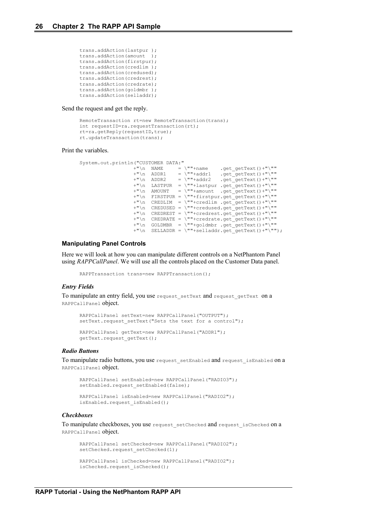```
trans.addAction(lastpur );
trans.addAction(amount );
trans.addAction(firstpur);
trans.addAction(credlim );
trans.addAction(credused);
trans.addAction(credrest);
trans.addAction(credrate);
trans.addAction(goldmbr );
trans.addAction(selladdr);
```
Send the request and get the reply.

```
RemoteTransaction rt=new RemoteTransaction(trans);
int requestID=ra.requestTransaction(rt);
rt=ra.getReply(requestID,true);
rt.updateTransaction(trans);
```
#### Print the variables.

```
System.out.println("CUSTOMER DATA:"
+"\n NAME = \""+name .get getText()+"\""
+"\n ADDR1 = \""+addr1 .get getText()+"\""
+"\n ADDR2 = \""+addr2 .get getText()+"\""
+"\n LASTPUR = \""+lastpur .get getText()+"\""
+"\n AMOUNT = \""+amount .get getText()+"\""
               +"\n FIRSTPUR = \""+firstpur.get_getText()+"\""
               +"\n CREDLIM = \""+credlim .get_getText()+"\""
                 +"\n CREDUSED = \""+credused.get_getText()+"\""
                +"\n CREDREST = \""+credrest.get_getText()+"\""
               +\sqrt{n} CREDRATE = \sqrt{n}+credrate.get getText()+"\sqrt{n}"
               +\sqrt{n} GOLDMBR = \sqrt{n}+goldmbr .get_getText()+"\""
               +"\n SELLADDR = \""+selladdr.get_getText()+"\"");
```
#### **Manipulating Panel Controls**

Here we will look at how you can manipulate different controls on a NetPhantom Panel using *RAPPCallPanel*. We will use all the controls placed on the Customer Data panel.

RAPPTransaction trans=new RAPPTransaction();

#### *Entry Fields*

To manipulate an entry field, you use request\_setText and request\_getText on a RAPPCallPanel object.

```
RAPPCallPanel setText=new RAPPCallPanel("OUTPUT");
setText.request setText("Sets the text for a control");
RAPPCallPanel getText=new RAPPCallPanel("ADDR1");
```
#### *Radio Buttons*

To manipulate radio buttons, you use request setEnabled and request isEnabled on a RAPPCallPanel object.

```
RAPPCallPanel setEnabled=new RAPPCallPanel("RADIO3");
setEnabled.request setEnabled(false);
RAPPCallPanel isEnabled=new RAPPCallPanel("RADIO2");
```
isEnabled.request\_isEnabled();

getText.request\_getText();

#### *Checkboxes*

To manipulate checkboxes, you use request setChecked and request isChecked on a RAPPCallPanel object.

```
RAPPCallPanel setChecked=new RAPPCallPanel("RADIO2");
setChecked.request setChecked(1);
RAPPCallPanel isChecked=new RAPPCallPanel("RADIO2");
isChecked.request_isChecked();
```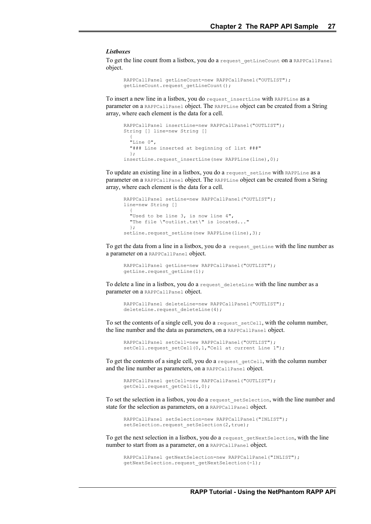#### *Listboxes*

To get the line count from a listbox, you do a request getLineCount on a RAPPCallPanel object.

```
RAPPCallPanel getLineCount=new RAPPCallPanel("OUTLIST");
getLineCount.request getLineCount();
```
To insert a new line in a listbox, you do request\_insertLine with RAPPLine as a parameter on a RAPPCallPanel object. The RAPPLine object can be created from a String array, where each element is the data for a cell.

```
RAPPCallPanel insertLine=new RAPPCallPanel("OUTLIST");
String [] line=new String []
\left\{ \begin{array}{c} \end{array} \right\} "Line 0",
   "### Line inserted at beginning of list ###"
   };
insertLine.request insertLine(new RAPPLine(line),0);
```
To update an existing line in a listbox, you do a request setLine with RAPPLine as a parameter on a RAPPCallPanel object. The RAPPLine object can be created from a String array, where each element is the data for a cell.

```
RAPPCallPanel setLine=new RAPPCallPanel("OUTLIST");
line=new String []
\left\{ \begin{array}{c} \end{array} \right\} "Used to be line 3, is now line 4",
   "The file \"outlist.txt\" is located..."
   };
setLine.request_setLine(new RAPPLine(line),3);
```
To get the data from a line in a listbox, you do a request\_getLine with the line number as a parameter on a RAPPCallPanel object.

```
RAPPCallPanel getLine=new RAPPCallPanel("OUTLIST");
getLine.request getLine(1);
```
To delete a line in a listbox, you do a request deleteLine with the line number as a parameter on a RAPPCallPanel object.

```
RAPPCallPanel deleteLine=new RAPPCallPanel("OUTLIST");
deleteLine.request deleteLine(4);
```
To set the contents of a single cell, you do a request\_setCell, with the column number, the line number and the data as parameters, on a RAPPCallPanel object.

```
RAPPCallPanel setCell=new RAPPCallPanel("OUTLIST");
setCell.request setCell(0,1,"Cell at current Line 1");
```
To get the contents of a single cell, you do a request getCell, with the column number and the line number as parameters, on a RAPPCallPanel object.

```
RAPPCallPanel getCell=new RAPPCallPanel("OUTLIST");
getCell.request_getCell(1,0);
```
To set the selection in a listbox, you do a request\_setSelection, with the line number and state for the selection as parameters, on a RAPPCallPanel object.

```
RAPPCallPanel setSelection=new RAPPCallPanel("INLIST");
setSelection.request setSelection(2,true);
```
To get the next selection in a listbox, you do a request\_getNextSelection, with the line number to start from as a parameter, on a RAPPCallPanel object.

```
RAPPCallPanel getNextSelection=new RAPPCallPanel("INLIST");
getNextSelection.request_getNextSelection(-1);
```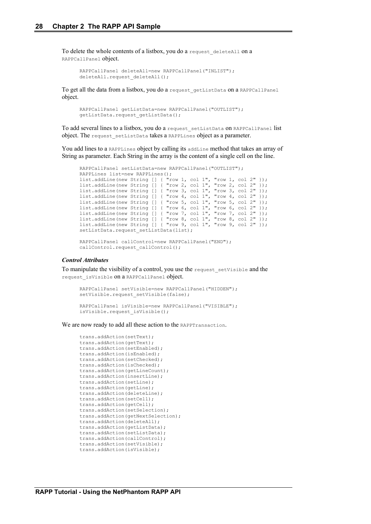To delete the whole contents of a listbox, you do a request deleteAll on a RAPPCallPanel object.

```
RAPPCallPanel deleteAll=new RAPPCallPanel("INLIST");
deleteAll.request deleteAll();
```
To get all the data from a listbox, you do a request getListData on a RAPPCallPanel object.

```
RAPPCallPanel getListData=new RAPPCallPanel("OUTLIST");
getListData.request getListData();
```
To add several lines to a listbox, you do a request\_setListData on RAPPCallPanel list object. The request\_setListData takes a RAPPLines object as a parameter.

You add lines to a RAPPLines object by calling its addLine method that takes an array of String as parameter. Each String in the array is the content of a single cell on the line.

```
RAPPCallPanel setListData=new RAPPCallPanel("OUTLIST");
RAPPLines list=new RAPPLines();
list.addLine(new String [] { "row 1, col 1", "row 1, col 2" });
list.addLine(new String [] { "row 2, col 1", "row 2, col 2" });<br>list.addLine(new String [] { "row 3, col 1", "row 3, col 2" });
                                "row 3, col 1", "row 3, col 2" });
list.addLine(new String [] { "row 4, col 1", "row 4, col 2" });
list.addLine(new String [] { "row 5, col 1", "row 5, col 2" });
list.addLine(new String [] { "row 6, col 1", "row 6, col 2" });
list.addLine(new String [] { "row 7, col 1", "row 7, col 2" });
list.addLine(new String [] { "row 8, col 1", "row 8, col 2" });
list.addLine(new String [] { "row 9, col 1", "row 9, col 2" });
setListData.request setListData(list);
```

```
RAPPCallPanel callControl=new RAPPCallPanel("END");
callControl.request callControl();
```
#### *Control Attributes*

To manipulate the visibility of a control, you use the request\_setVisible and the request isVisible on a RAPPCallPanel object.

```
RAPPCallPanel setVisible=new RAPPCallPanel("HIDDEN");
setVisible.request setVisible(false);
RAPPCallPanel isVisible=new RAPPCallPanel("VISIBLE");
isVisible.request_isVisible();
```
We are now ready to add all these action to the RAPPTransaction.

```
trans.addAction(setText);
trans.addAction(getText);
trans.addAction(setEnabled);
trans.addAction(isEnabled);
trans.addAction(setChecked);
trans.addAction(isChecked);
trans.addAction(getLineCount);
trans.addAction(insertLine);
trans.addAction(setLine);
trans.addAction(getLine);
trans.addAction(deleteLine);
trans.addAction(setCell);
trans.addAction(getCell);
trans.addAction(setSelection);
trans.addAction(getNextSelection);
trans.addAction(deleteAll);
trans.addAction(getListData);
trans.addAction(setListData);
trans.addAction(callControl);
trans.addAction(setVisible);
trans.addAction(isVisible);
```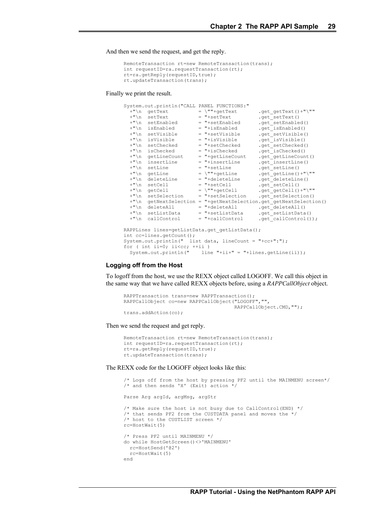And then we send the request, and get the reply.

```
RemoteTransaction rt=new RemoteTransaction(trans);
int requestID=ra.requestTransaction(rt);
rt=ra.getReply(requestID, true);
rt.updateTransaction(trans);
```
Finally we print the result.

```
System.out.println("CALL PANEL FUNCTIONS:"<br>"'\n getText = \""+getText
+"\n getText = \""+getText .get getText()+"\""
+"\n setText = "+setText .get setText()
  +"\n setEnabled = "+setEnabled .get_setEnabled()<br>+"\n isEnabled = "+isEnabled .get_setEnabled()
                                   = "+isEnabled .get_isEnabled()<br>= "+setVisible .get_setVisible
  +"\n setVisible = "+setVisible .get_setVisible()<br>
+"\n isVisible = "+isVisible .get_isVisible()
 +"\n isVisible = "+isVisible .get_isVisible()
+"\n setChecked = "+setChecked .get setChecked()
  \begin{tabular}{lllllllll} +"\backslash n & setChecked & = "+setChecked & .get\_setChecked(\\ +"\backslash n & isChecked & = "+isChecked & .get\_isChecked()\\ +"\backslash n & getLineCount & = "+getLineCount & .get\_getLineCount\\ \end{tabular}= "+getLineCount .get<sup>-</sup>getLineCount()<br>= "+insertLine .get insertLine()
  +"\n insertLine = "+insertLine .get_insertLine()<br>+"\n setLine = "+setLine .get_setLine()
  +"\n setLine = "+setLine .get_setLine()<br>+"\n getLine = \""+getLine .get_getLine()
                                  = \sqrt{'''' + getLine} .get_getLine()+"\""<br>= "+deleteLine .get_deleteLine()
  +"\n deleteLine = "+deleteLine .get_deleteLine()<br>+"\n setCell = "+setCell .get_setCell()
  +"\n setCell = "+setCell .get_setCell()<br>+"\n qetCell = \""+getCell .get_getCell()
                                                               \cdot get<sup>-</sup>getCell()+"\""
+"\n setSelection = "+setSelection .get setSelection()
+"\n getNextSelection = "+getNextSelection.get getNextSelection()
  +"\n deleteAll = "+deleteAll .get_deleteAll()
  +"\n setListData = "+setListData .get_setListData()<br>+"\n callControl = "+callControl .get_callControl()
                                                                \overline{\ }.get\overline{\ }callControl());
RAPPLines lines=getListData.get getListData();
int cc=lines.getCount();
System.out.println(" list data, lineCount = "+cc+":");
for ( int ii=0; ii<cc; ++ii )<br>System.out.println(" line
                                    \lim_{n \to \infty} "+ii+" = "+lines.getLine(ii));
```
#### **Logging off from the Host**

To logoff from the host, we use the REXX object called LOGOFF. We call this object in the same way that we have called REXX objects before, using a *RAPPCallObject* object.

```
RAPPTransaction trans=new RAPPTransaction();
RAPPCallObject co=new RAPPCallObject("LOGOFF","",
                                      RAPPCallObject.CMD,"");
trans.addAction(co);
```
Then we send the request and get reply.

```
RemoteTransaction rt=new RemoteTransaction(trans);
int requestID=ra.requestTransaction(rt);
rt=ra.getReply(requestID,true);
rt.updateTransaction(trans);
```
The REXX code for the LOGOFF object looks like this:

```
/* Logs off from the host by pressing PF2 until the MAINMENU screen*/
/* and then sends 'X' (Exit) action */
Parse Arg argId, argMsg, argStr
/* Make sure the host is not busy due to CallControl(END) */
/* that sends PF2 from the CUSTDATA panel and moves the *//* host to the CUSTLIST screen */
rc=HostWait(5)
/* Press PF2 until MAINMENU */
do while HostGetScreen()<>'MAINMENU'
  rc=HostSend('@2')
  rc=HostWait(5)
end
```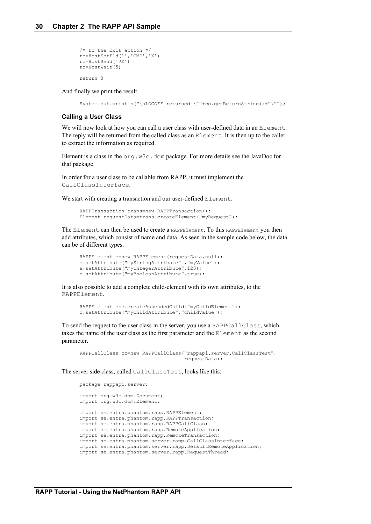```
/* Do the Exit action */
rc=HostSetFld('','CMD','X')
rc=HostSend('@E')
rc=HostWait(5)
return 0
```
And finally we print the result.

System.out.println("\nLOGOFF returned \""+co.getReturnString()+"\"");

#### **Calling a User Class**

We will now look at how you can call a user class with user-defined data in an Element. The reply will be returned from the called class as an Element. It is then up to the caller to extract the information as required.

Element is a class in the  $\text{org.w3c.dom package}$ . For more details see the JavaDoc for that package.

In order for a user class to be callable from RAPP, it must implement the CallClassInterface.

We start with creating a transaction and our user-defined Element.

```
RAPPTransaction trans=new RAPPTransaction();
Element requestData=trans.createElement("myRequest");
```
The Element can then be used to create a RAPPElement. To this RAPPElement you then add attributes, which consist of name and data. As seen in the sample code below, the data can be of different types.

```
RAPPElement e=new RAPPElement(requestData,null);
e.setAttribute("myStringAttribute","myValue");
e.setAttribute("myIntegerAttribute", 123);
e.setAttribute("myBooleanAttribute",true);
```
It is also possible to add a complete child-element with its own attributes, to the RAPPElement.

```
RAPPElement c=e.createAppendedChild("myChildElement");
c.setAttribute("myChildAttribute","childValue");
```
To send the request to the user class in the server, you use a RAPPCallClass, which takes the name of the user class as the first parameter and the Element as the second parameter.

```
RAPPCallClass cc=new RAPPCallClass("rappapi.server.CallClassTest",
                                     requestData);
```
The server side class, called CallClassTest, looks like this:

```
package rappapi.server;
import org.w3c.dom.Document;
import org.w3c.dom.Element;
import se.entra.phantom.rapp.RAPPElement;
import se.entra.phantom.rapp.RAPPTransaction;
import se.entra.phantom.rapp.RAPPCallClass;
import se.entra.phantom.rapp.RemoteApplication;
import se.entra.phantom.rapp.RemoteTransaction;
import se.entra.phantom.server.rapp.CallClassInterface;
import se.entra.phantom.server.rapp.DefaultRemoteApplication;
import se.entra.phantom.server.rapp.RequestThread;
```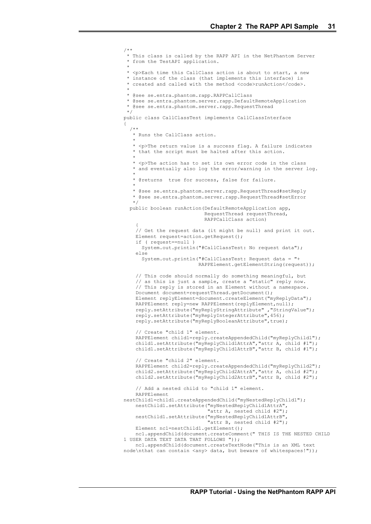/\*\* \* This class is called by the RAPP API in the NetPhantom Server \* from the TestAPI application. \* \* <p>Each time this CallClass action is about to start, a new \* instance of the class (that implements this interface) is \* created and called with the method <code>runAction</code>. \* \* @see se.entra.phantom.rapp.RAPPCallClass \* @see se.entra.phantom.server.rapp.DefaultRemoteApplication \* @see se.entra.phantom.server.rapp.RequestThread \*/ public class CallClassTest implements CallClassInterface { /\*\* \* Runs the CallClass action.  $\star$  \* <p>The return value is a success flag. A failure indicates \* that the script must be halted after this action.  $\star$  \* <p>The action has to set its own error code in the class \* and eventually also log the error/warning in the server log.  $\star$  \* @returns true for success, false for failure.  $\rightarrow$  \* @see se.entra.phantom.server.rapp.RequestThread#setReply \* @see se.entra.phantom.server.rapp.RequestThread#setError  $\rightarrow$  / public boolean runAction(DefaultRemoteApplication app, RequestThread requestThread, RAPPCallClass action)  $\left\{\begin{array}{ccc} \end{array}\right\}$  // Get the request data (it might be null) and print it out. Element request=action.getRequest(); if ( request==null ) System.out.println("#CallClassTest: No request data"); else System.out.println("#CallClassTest: Request data = "+ RAPPElement.getElementString(request)); // This code should normally do something meaningful, but // as this is just a sample, create a "static" reply now. // This reply is stored in an Element without a namespace. Document document=requestThread.getDocument(); Element replyElement=document.createElement("myReplyData"); RAPPElement reply=new RAPPElement(replyElement,null); reply.setAttribute("myReplyStringAttribute" ,"StringValue"); reply.setAttribute("myReplyIntegerAttribute",456); reply.setAttribute("myReplyBooleanAttribute",true); // Create "child 1" element. RAPPElement child1=reply.createAppendedChild("myReplyChild1"); child1.setAttribute("myReplyChild1AttrA","attr A, child #1"); child1.setAttribute("myReplyChild1AttrB","attr B, child #1"); // Create "child 2" element. RAPPElement child2=reply.createAppendedChild("myReplyChild2"); child2.setAttribute("myReplyChild2AttrA","attr A, child #2"); child2.setAttribute("myReplyChild2AttrB","attr B, child #2"); // Add a nested child to "child 1" element. RAPPElement nestChild1=child1.createAppendedChild("myNestedReplyChild1"); nestChild1.setAttribute("myNestedReplyChild1AttrA", "attr A, nested child #2"); nestChild1.setAttribute("myNestedReplyChild1AttrB", "attr B, nested child #2"); Element nc1=nestChild1.getElement(); nc1.appendChild(document.createComment(" THIS IS THE NESTED CHILD 1 USER DATA TEXT DATA THAT FOLLOWS ")); nc1.appendChild(document.createTextNode("This is an XML text node\nthat can contain <any> data, but beware of whitespaces!"));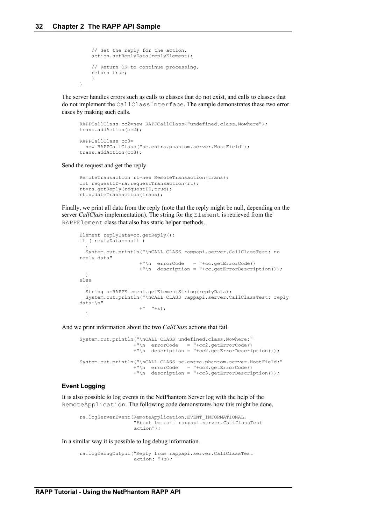}

```
 // Set the reply for the action.
 action.setReplyData(replyElement);
 // Return OK to continue processing.
 return true;
 }
```
The server handles errors such as calls to classes that do not exist, and calls to classes that do not implement the CallClassInterface. The sample demonstrates these two error cases by making such calls.

```
RAPPCallClass cc2=new RAPPCallClass("undefined.class.Nowhere");
trans.addAction(cc2);
RAPPCallClass cc3=
 new RAPPCallClass("se.entra.phantom.server.HostField");
trans.addAction(cc3);
```
Send the request and get the reply.

```
RemoteTransaction rt=new RemoteTransaction(trans);
int requestID=ra.requestTransaction(rt);
rt=ra.getReply(requestID,true);
rt.updateTransaction(trans);
```
Finally, we print all data from the reply (note that the reply might be null, depending on the server *CallClass* implementation). The string for the Element is retrieved from the RAPPElement class that also has static helper methods.

```
Element replyData=cc.getReply();
if ( replyData==null )
   {
  System.out.println("\nCALL CLASS rappapi.server.CallClassTest: no 
reply data"
                        +"\n errorCode = "+cc.getErrorCode()
                       +"\n description = "+cc.getErrorDescription());
  }
else
\left\{ \begin{array}{c} \end{array} \right\} String s=RAPPElement.getElementString(replyData);
   System.out.println("\nCALL CLASS rappapi.server.CallClassTest: reply 
data:\n"
                      +" "+s):
   }
```
And we print information about the two *CallClass* actions that fail.

```
System.out.println("\nCALL CLASS undefined.class.Nowhere:"
                  +"\n errorCode = "+cc2.getErrorCode()
                 +"\n description = "+cc2.getErrorDescription());
System.out.println("\nCALL CLASS se.entra.phantom.server.HostField:"
 +"\n errorCode = "+cc3.getErrorCode()
                 +"\n description = "+cc3.getErrorDescription());
```
#### **Event Logging**

It is also possible to log events in the NetPhantom Server log with the help of the RemoteApplication. The following code demonstrates how this might be done.

```
ra.logServerEvent(RemoteApplication.EVENT_INFORMATIONAL,
                  "About to call rappapi.server.CallClassTest
                   action");
```
In a similar way it is possible to log debug information.

ra.logDebugOutput("Reply from rappapi.server.CallClassTest  $\arctan:$  "+s);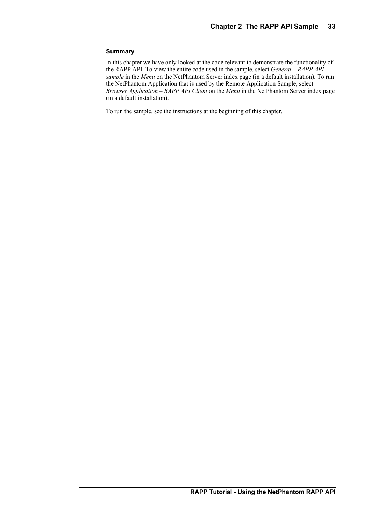#### **Summary**

In this chapter we have only looked at the code relevant to demonstrate the functionality of the RAPP API. To view the entire code used in the sample, select *General – RAPP API sample* in the *Menu* on the NetPhantom Server index page (in a default installation). To run the NetPhantom Application that is used by the Remote Application Sample, select *Browser Application – RAPP API Client* on the *Menu* in the NetPhantom Server index page (in a default installation).

To run the sample, see the instructions at the beginning of this chapter.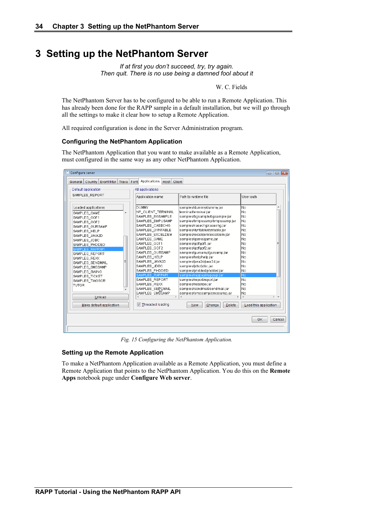# **3 Setting up the NetPhantom Server**

*If at first you don't succeed, try, try again. Then quit. There is no use being a damned fool about it*

W. C. Fields

The NetPhantom Server has to be configured to be able to run a Remote Application. This has already been done for the RAPP sample in a default installation, but we will go through all the settings to make it clear how to setup a Remote Application.

All required configuration is done in the Server Administration program.

#### **Configuring the NetPhantom Application**

The NetPhantom Application that you want to make available as a Remote Application, must configured in the same way as any other NetPhantom Application.

| SAMPLES REPORT           | All applications                     |                                                              |                       |
|--------------------------|--------------------------------------|--------------------------------------------------------------|-----------------------|
|                          | Application name                     | Path to runtime file                                         | User auth             |
| Loaded applications      | DUMMY                                | samples/dummy/dummy.jar                                      | No                    |
| SAMPLES GAME             | NP CLIENT TERMINAL                   | terminal/terminal.jar                                        | No                    |
| SAMPLES GOF1             | SAMPLES BGSAMPLE                     | samples/bgsample/bgsample.jar                                | No                    |
| SAMPLES GOF2             | SAMPLES BMPUSAMP                     | samples/bmpusamp/bmpusamp.jar                                | No                    |
| SAMPLES_GURSAMP          | SAMPLES CASECHG                      | samples/casechg/casechg.jar                                  | No                    |
| SAMPLES HELP             | SAMPLES DYNTABLE                     | samples/dyntable/dyntable.jar                                | No                    |
| SAMPLES JAVA2D           | SAMPLES_EXCELDEM                     | samples/exceldem/exceldem.jar                                | No                    |
| SAMPLES JDBC             | SAMPLES GAME                         | samples/game/game.jar                                        | No                    |
| SAMPLES PHDDED           | SAMPLES GOF1                         | samples/gof/gof1.jar                                         | No                    |
| SAMPLES RAPPAPI          | SAMPLES GOF2                         | samples/gof/gof2.jar                                         | No                    |
| SAMPLES REPORT           | SAMPLES GURSAMP                      | samples/qursamp/qursamp.jar                                  | No                    |
| SAMPLES REXX             | SAMPLES HELP                         | samples/help/help.jar                                        | No                    |
| SAMPLES SENDMAIL         | SAMPLES JAVA2D                       | samples/java2d/java2d.jar                                    | No                    |
| SAMPLES_SMSSAMP          | SAMPLES JDBC                         | samples/idbc/idbc.iar                                        | No                    |
| SAMPLES SWING            | SAMPLES PHDDED                       | samples/phdded/phdded.jar                                    | No                    |
| SAMPLES TICKET           | SAMPLES RAPPAPI                      | samples/rappapi/rappapi.jar                                  | No                    |
| SAMPLES TWOSCR           | SAMPLES REPORT                       | samples/report/report.jar                                    | No                    |
| TUTOR                    | SAMPLES REXX                         | samples/rexx/rexx.iar                                        | No                    |
|                          | SAMPLES SEINOMAIL<br>SAMPLES SMŠSAMP | samples/sendmail/sendmail.jar<br>samples/smssamp/smssamp.jar | No                    |
| Unload                   |                                      |                                                              | No                    |
|                          | Threaded loading                     |                                                              |                       |
| Make default application |                                      | Change<br>Delete<br>New                                      | Load this application |

*Fig. 15 Configuring the NetPhantom Application.*

#### **Setting up the Remote Application**

To make a NetPhantom Application available as a Remote Application, you must define a Remote Application that points to the NetPhantom Application. You do this on the **Remote Apps** notebook page under **Configure Web server**.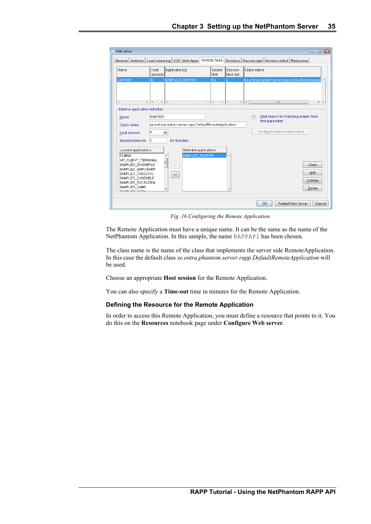| <sup>第1</sup> Web server                                                                                                                                                                    |                                                                                                          |                                                                  |  |                    |                     | $\overline{\mathbf{x}}$<br>$\Box$<br>$\Box$      |
|---------------------------------------------------------------------------------------------------------------------------------------------------------------------------------------------|----------------------------------------------------------------------------------------------------------|------------------------------------------------------------------|--|--------------------|---------------------|--------------------------------------------------|
| Address <sup>1</sup><br>General                                                                                                                                                             | Load balancing                                                                                           | CGI Web Apps                                                     |  | <b>Remote Apps</b> | Domains             | SecureLogin   Access control<br>Resources        |
| Name                                                                                                                                                                                        | Host<br>session                                                                                          | Application(s)                                                   |  | Search<br>first    | Session<br>time-out | Class name                                       |
| <b>RAPPAPI</b>                                                                                                                                                                              | Ŕ                                                                                                        | SAMPLES RAPPAPI                                                  |  | No.                |                     | se.entra.phantom.server.rapp.DefaultRemoteAppl   |
| $\overline{a}$<br>Þ.                                                                                                                                                                        |                                                                                                          |                                                                  |  |                    |                     | m<br>$\overline{\phantom{a}}$                    |
|                                                                                                                                                                                             |                                                                                                          |                                                                  |  |                    |                     | Þ.                                               |
| Name                                                                                                                                                                                        | External application definition<br>Start search for matching screen from<br>RAPPAPI<br>first application |                                                                  |  |                    |                     |                                                  |
| Class name                                                                                                                                                                                  |                                                                                                          | se.entra.phantom.server.rapp.DefaultRemoteApplication            |  |                    |                     |                                                  |
| Host session                                                                                                                                                                                | R                                                                                                        | ▼                                                                |  |                    |                     | Configure external application                   |
| Session time-out                                                                                                                                                                            | $\overline{2}$                                                                                           | (In minutes)                                                     |  |                    |                     |                                                  |
| Loaded applications<br>DUMMY<br>NP_CLIENT_TERMINAL<br>SAMPLES BGSAMPLE<br>SAMPLES BMPUSAMP<br>SAMPLES CASECHG<br>SAMPLES_DYNTABLE<br>SAMPLES_EXCELDEM<br>SAMPLES GAME<br>$0.010150 - 0.054$ |                                                                                                          | Selected applications<br>SAMPLES RAPPAPI<br>۰<br>Ξ<br>$>>$<br><< |  |                    |                     | Clear<br>Add<br>Change<br><b>Delete</b>          |
|                                                                                                                                                                                             |                                                                                                          |                                                                  |  |                    |                     | <b>OK</b><br><b>Restart Web Server</b><br>Cancel |

*Fig. 16 Configuring the Remote Application.*

The Remote Application must have a unique name. It can be the same as the name of the NetPhantom Application. In this sample, the name RAPPAPI has been chosen.

The class name is the name of the class that implements the server side RemoteApplication. In this case the default class *se.entra.phantom.server.rapp.DefaultRemoteApplication* will be used.

Choose an appropriate **Host session** for the Remote Application.

You can also specify a **Time-out** time in minutes for the Remote Application.

#### **Defining the Resource for the Remote Application**

In order to access this Remote Application, you must define a resource that points to it. You do this on the **Resources** notebook page under **Configure Web server**.